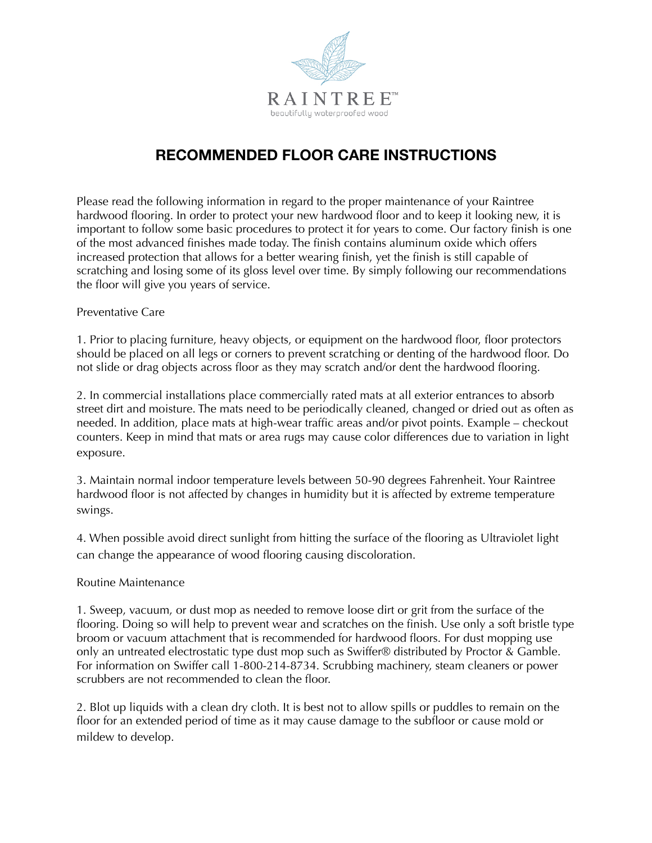

# **RECOMMENDED FLOOR CARE INSTRUCTIONS**

Please read the following information in regard to the proper maintenance of your Raintree hardwood flooring. In order to protect your new hardwood floor and to keep it looking new, it is important to follow some basic procedures to protect it for years to come. Our factory finish is one of the most advanced finishes made today. The finish contains aluminum oxide which offers increased protection that allows for a better wearing finish, yet the finish is still capable of scratching and losing some of its gloss level over time. By simply following our recommendations the floor will give you years of service.

#### Preventative Care

1. Prior to placing furniture, heavy objects, or equipment on the hardwood floor, floor protectors should be placed on all legs or corners to prevent scratching or denting of the hardwood floor. Do not slide or drag objects across floor as they may scratch and/or dent the hardwood flooring.

2. In commercial installations place commercially rated mats at all exterior entrances to absorb street dirt and moisture. The mats need to be periodically cleaned, changed or dried out as often as needed. In addition, place mats at high-wear traffic areas and/or pivot points. Example – checkout counters. Keep in mind that mats or area rugs may cause color differences due to variation in light exposure.

3. Maintain normal indoor temperature levels between 50-90 degrees Fahrenheit. Your Raintree hardwood floor is not affected by changes in humidity but it is affected by extreme temperature swings.

4. When possible avoid direct sunlight from hitting the surface of the flooring as Ultraviolet light can change the appearance of wood flooring causing discoloration.

## Routine Maintenance

1. Sweep, vacuum, or dust mop as needed to remove loose dirt or grit from the surface of the flooring. Doing so will help to prevent wear and scratches on the finish. Use only a soft bristle type broom or vacuum attachment that is recommended for hardwood floors. For dust mopping use only an untreated electrostatic type dust mop such as Swiffer® distributed by Proctor & Gamble. For information on Swiffer call 1-800-214-8734. Scrubbing machinery, steam cleaners or power scrubbers are not recommended to clean the floor.

2. Blot up liquids with a clean dry cloth. It is best not to allow spills or puddles to remain on the floor for an extended period of time as it may cause damage to the subfloor or cause mold or mildew to develop.